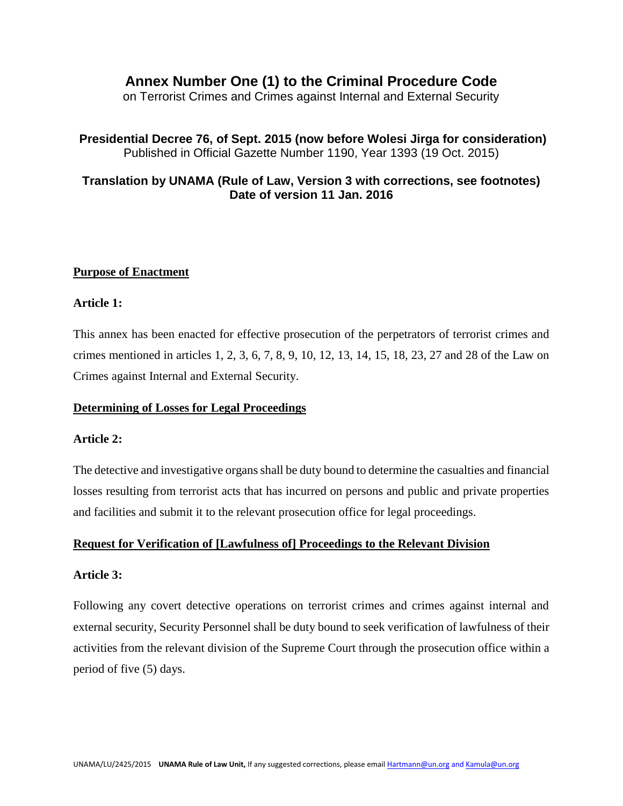# **Annex Number One (1) to the Criminal Procedure Code**

on Terrorist Crimes and Crimes against Internal and External Security

# **Presidential Decree 76, of Sept. 2015 (now before Wolesi Jirga for consideration)**  Published in Official Gazette Number 1190, Year 1393 (19 Oct. 2015)

# **Translation by UNAMA (Rule of Law, Version 3 with corrections, see footnotes) Date of version 11 Jan. 2016**

## **Purpose of Enactment**

#### **Article 1:**

This annex has been enacted for effective prosecution of the perpetrators of terrorist crimes and crimes mentioned in articles 1, 2, 3, 6, 7, 8, 9, 10, 12, 13, 14, 15, 18, 23, 27 and 28 of the Law on Crimes against Internal and External Security.

### **Determining of Losses for Legal Proceedings**

#### **Article 2:**

The detective and investigative organs shall be duty bound to determine the casualties and financial losses resulting from terrorist acts that has incurred on persons and public and private properties and facilities and submit it to the relevant prosecution office for legal proceedings.

#### **Request for Verification of [Lawfulness of] Proceedings to the Relevant Division**

#### **Article 3:**

Following any covert detective operations on terrorist crimes and crimes against internal and external security, Security Personnel shall be duty bound to seek verification of lawfulness of their activities from the relevant division of the Supreme Court through the prosecution office within a period of five (5) days.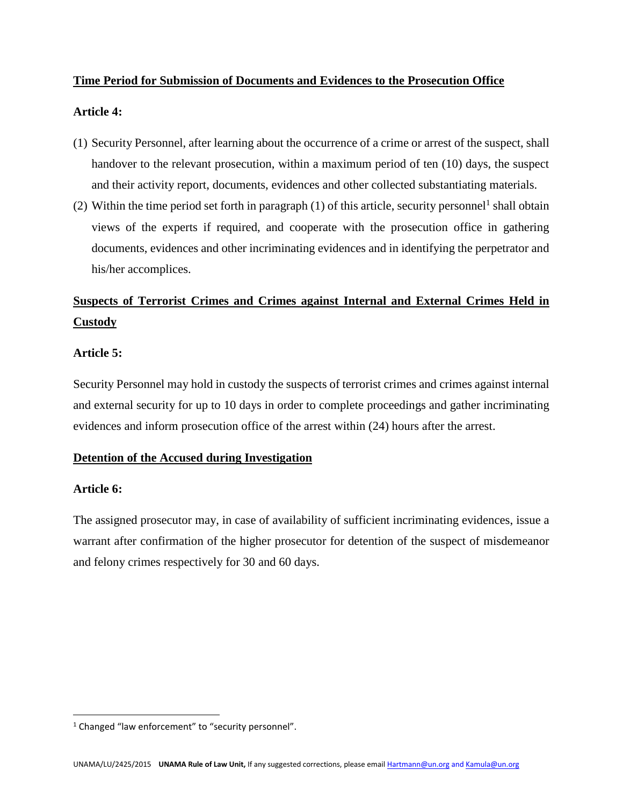## **Time Period for Submission of Documents and Evidences to the Prosecution Office**

## **Article 4:**

- (1) Security Personnel, after learning about the occurrence of a crime or arrest of the suspect, shall handover to the relevant prosecution, within a maximum period of ten (10) days, the suspect and their activity report, documents, evidences and other collected substantiating materials.
- (2) Within the time period set forth in paragraph  $(1)$  of this article, security personnel<sup>1</sup> shall obtain views of the experts if required, and cooperate with the prosecution office in gathering documents, evidences and other incriminating evidences and in identifying the perpetrator and his/her accomplices.

# **Suspects of Terrorist Crimes and Crimes against Internal and External Crimes Held in Custody**

## **Article 5:**

Security Personnel may hold in custody the suspects of terrorist crimes and crimes against internal and external security for up to 10 days in order to complete proceedings and gather incriminating evidences and inform prosecution office of the arrest within (24) hours after the arrest.

# **Detention of the Accused during Investigation**

## **Article 6:**

 $\overline{\phantom{a}}$ 

The assigned prosecutor may, in case of availability of sufficient incriminating evidences, issue a warrant after confirmation of the higher prosecutor for detention of the suspect of misdemeanor and felony crimes respectively for 30 and 60 days.

<sup>&</sup>lt;sup>1</sup> Changed "law enforcement" to "security personnel".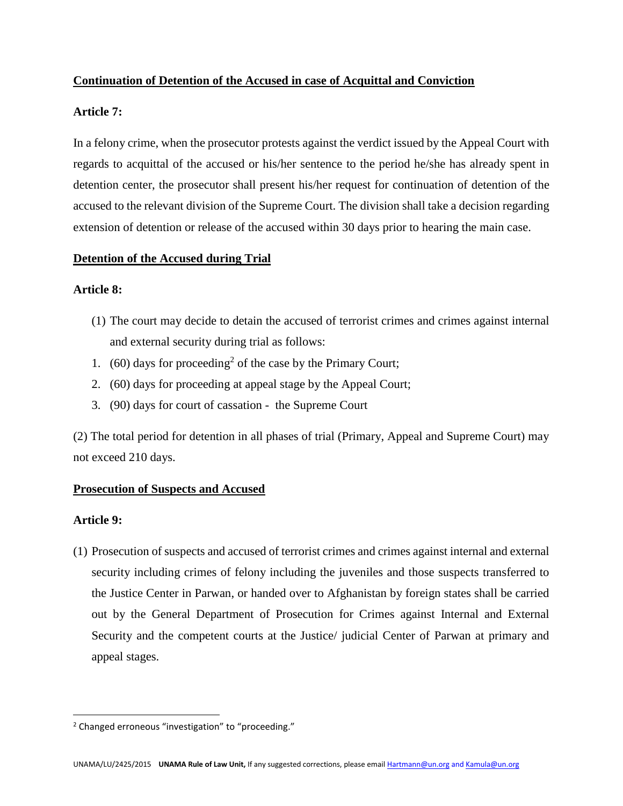# **Continuation of Detention of the Accused in case of Acquittal and Conviction**

## **Article 7:**

In a felony crime, when the prosecutor protests against the verdict issued by the Appeal Court with regards to acquittal of the accused or his/her sentence to the period he/she has already spent in detention center, the prosecutor shall present his/her request for continuation of detention of the accused to the relevant division of the Supreme Court. The division shall take a decision regarding extension of detention or release of the accused within 30 days prior to hearing the main case.

## **Detention of the Accused during Trial**

## **Article 8:**

- (1) The court may decide to detain the accused of terrorist crimes and crimes against internal and external security during trial as follows:
- 1.  $(60)$  days for proceeding<sup>2</sup> of the case by the Primary Court;
- 2. (60) days for proceeding at appeal stage by the Appeal Court;
- 3. (90) days for court of cassation the Supreme Court

(2) The total period for detention in all phases of trial (Primary, Appeal and Supreme Court) may not exceed 210 days.

# **Prosecution of Suspects and Accused**

# **Article 9:**

 $\overline{\phantom{a}}$ 

(1) Prosecution of suspects and accused of terrorist crimes and crimes against internal and external security including crimes of felony including the juveniles and those suspects transferred to the Justice Center in Parwan, or handed over to Afghanistan by foreign states shall be carried out by the General Department of Prosecution for Crimes against Internal and External Security and the competent courts at the Justice/ judicial Center of Parwan at primary and appeal stages.

<sup>2</sup> Changed erroneous "investigation" to "proceeding."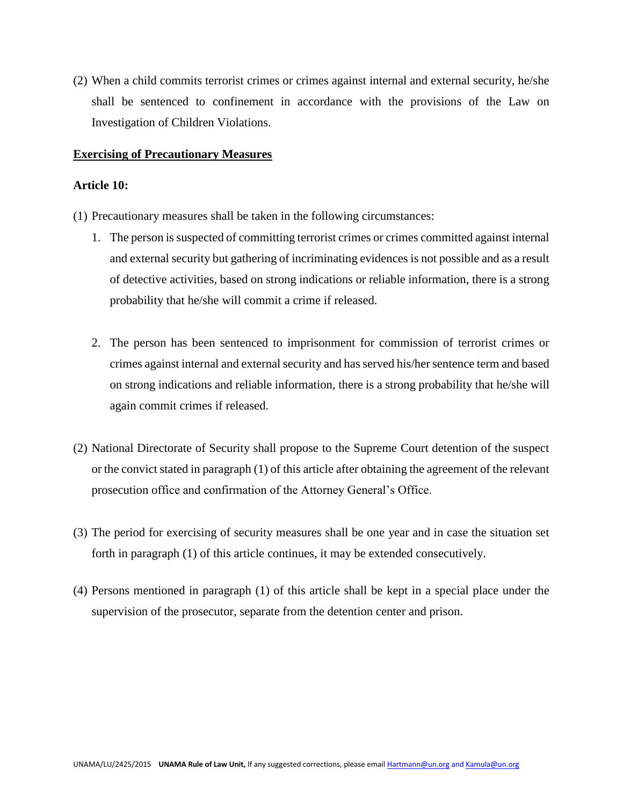(2) When a child commits terrorist crimes or crimes against internal and external security, he/she shall be sentenced to confinement in accordance with the provisions of the Law on Investigation of Children Violations.

#### **Exercising of Precautionary Measures**

### **Article 10:**

- (1) Precautionary measures shall be taken in the following circumstances:
	- 1. The person is suspected of committing terrorist crimes or crimes committed against internal and external security but gathering of incriminating evidences is not possible and as a result of detective activities, based on strong indications or reliable information, there is a strong probability that he/she will commit a crime if released.
	- 2. The person has been sentenced to imprisonment for commission of terrorist crimes or crimes against internal and external security and has served his/her sentence term and based on strong indications and reliable information, there is a strong probability that he/she will again commit crimes if released.
- (2) National Directorate of Security shall propose to the Supreme Court detention of the suspect or the convict stated in paragraph (1) of this article after obtaining the agreement of the relevant prosecution office and confirmation of the Attorney General's Office.
- (3) The period for exercising of security measures shall be one year and in case the situation set forth in paragraph (1) of this article continues, it may be extended consecutively.
- (4) Persons mentioned in paragraph (1) of this article shall be kept in a special place under the supervision of the prosecutor, separate from the detention center and prison.